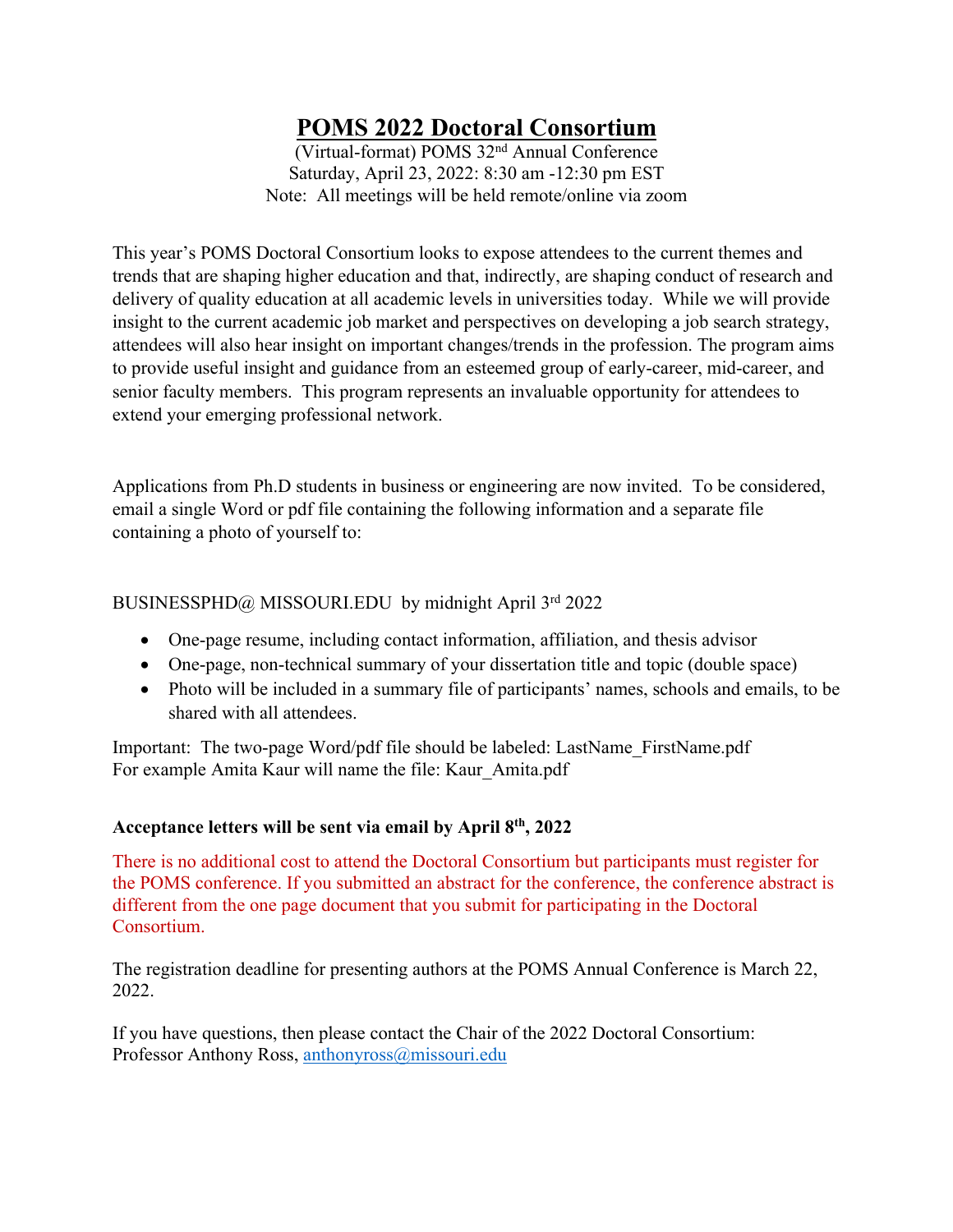# **POMS 2022 Doctoral Consortium**

(Virtual-format) POMS 32nd Annual Conference Saturday, April 23, 2022: 8:30 am -12:30 pm EST Note: All meetings will be held remote/online via zoom

This year's POMS Doctoral Consortium looks to expose attendees to the current themes and trends that are shaping higher education and that, indirectly, are shaping conduct of research and delivery of quality education at all academic levels in universities today. While we will provide insight to the current academic job market and perspectives on developing a job search strategy, attendees will also hear insight on important changes/trends in the profession. The program aims to provide useful insight and guidance from an esteemed group of early-career, mid-career, and senior faculty members. This program represents an invaluable opportunity for attendees to extend your emerging professional network.

Applications from Ph.D students in business or engineering are now invited. To be considered, email a single Word or pdf file containing the following information and a separate file containing a photo of yourself to:

## BUSINESSPHD@ MISSOURI.EDU by midnight April 3rd 2022

- One-page resume, including contact information, affiliation, and thesis advisor
- One-page, non-technical summary of your dissertation title and topic (double space)
- Photo will be included in a summary file of participants' names, schools and emails, to be shared with all attendees.

Important: The two-page Word/pdf file should be labeled: LastName\_FirstName.pdf For example Amita Kaur will name the file: Kaur\_Amita.pdf

### **Acceptance letters will be sent via email by April 8th, 2022**

There is no additional cost to attend the Doctoral Consortium but participants must register for the POMS conference. If you submitted an abstract for the conference, the conference abstract is different from the one page document that you submit for participating in the Doctoral Consortium.

The registration deadline for presenting authors at the POMS Annual Conference is March 22, 2022.

If you have questions, then please contact the Chair of the 2022 Doctoral Consortium: Professor Anthony Ross, anthonyross@missouri.edu